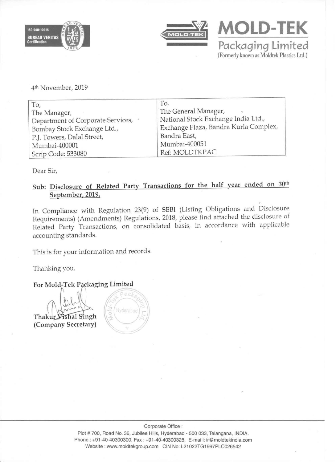



**MOLD-TEK Packaging limited**  (Formerly known as Moldtek Plastics Ltd.)

4th November, 2019

| To,                                 | To,                                   |
|-------------------------------------|---------------------------------------|
| The Manager,                        | The General Manager,                  |
| Department of Corporate Services, . | National Stock Exchange India Ltd.,   |
| Bombay Stock Exchange Ltd.,         | Exchange Plaza, Bandra Kurla Complex, |
| P.J. Towers, Dalal Street,          | Bandra East,                          |
| Mumbai-400001                       | Mumbai-400051                         |
| Scrip Code: 533080                  | Ref: MOLDTKPAC                        |

Dear Sir,

## Sub: Disclosure of Related Party Transactions for the half year ended on 30th September, 2019.

In Compliance with Regulation 23(9) of SEBI (Listing Obligations and Disclosure Requirements) (Amendments) Regulations, 2018, please find attached the disclosure of Related Party Transactions, on consolidated basis, in accordance with applicable accounting standards.

This is for your information and records.

Thanking you.

For Mold-Tek Packaging Limited

Thakur Vishal Singh (Company Secretary)

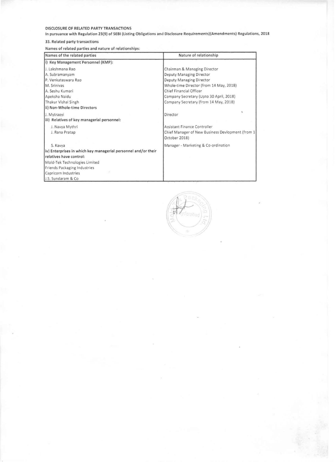## DISCLOSURE OF RELATED PARTY TRANSACTIONS

In pursuance with Regulation 23(9) of SEBI (Listing Obligations and Disclosure Requirements)(Amendments) Regulations, 2018

## 33. Related party transactions

Names of related parties and nature of relationships'

| Names of the related parties                                   | Nature of relationship                                            |  |  |  |  |
|----------------------------------------------------------------|-------------------------------------------------------------------|--|--|--|--|
| (i) Key Management Personnel (KMP):                            |                                                                   |  |  |  |  |
| J. Lakshmana Rao                                               | Chairman & Managing Director                                      |  |  |  |  |
| A. Subramanyam                                                 | Deputy Managing Director                                          |  |  |  |  |
| P. Venkateswara Rao                                            | Deputy Managing Director                                          |  |  |  |  |
| M. Sriniyas                                                    | Whole-time Director (from 14 May, 2018)                           |  |  |  |  |
| A. Seshu Kumari                                                | Chief Financial Officer                                           |  |  |  |  |
| Apeksha Naidu                                                  | Company Secretary (Upto 30 April, 2018)                           |  |  |  |  |
| Thakur Vishal Singh                                            | Company Secretary (from 14 May, 2018)                             |  |  |  |  |
| ii) Non-Whole-time Directors                                   |                                                                   |  |  |  |  |
| J. Mytraeyi                                                    | Director                                                          |  |  |  |  |
| iii) Relatives of key managerial personnel:                    |                                                                   |  |  |  |  |
| J. Navya Mythri                                                | Assistant Finance Controller                                      |  |  |  |  |
| J. Rana Pratap                                                 | Chief Manager of New Business Devlopment (from 1<br>October 2018) |  |  |  |  |
|                                                                |                                                                   |  |  |  |  |
| S. Kavva                                                       | Manager - Marketing & Co-ordination                               |  |  |  |  |
| iv) Enterprises in which key managerial personnel and/or their |                                                                   |  |  |  |  |
| relatives have control:                                        |                                                                   |  |  |  |  |
| Mold-Tek Technologies Limited                                  |                                                                   |  |  |  |  |
| Friends Packaging Industries                                   |                                                                   |  |  |  |  |
| Capricorn Industries                                           |                                                                   |  |  |  |  |
| J.S. Sundaram & Co.                                            |                                                                   |  |  |  |  |